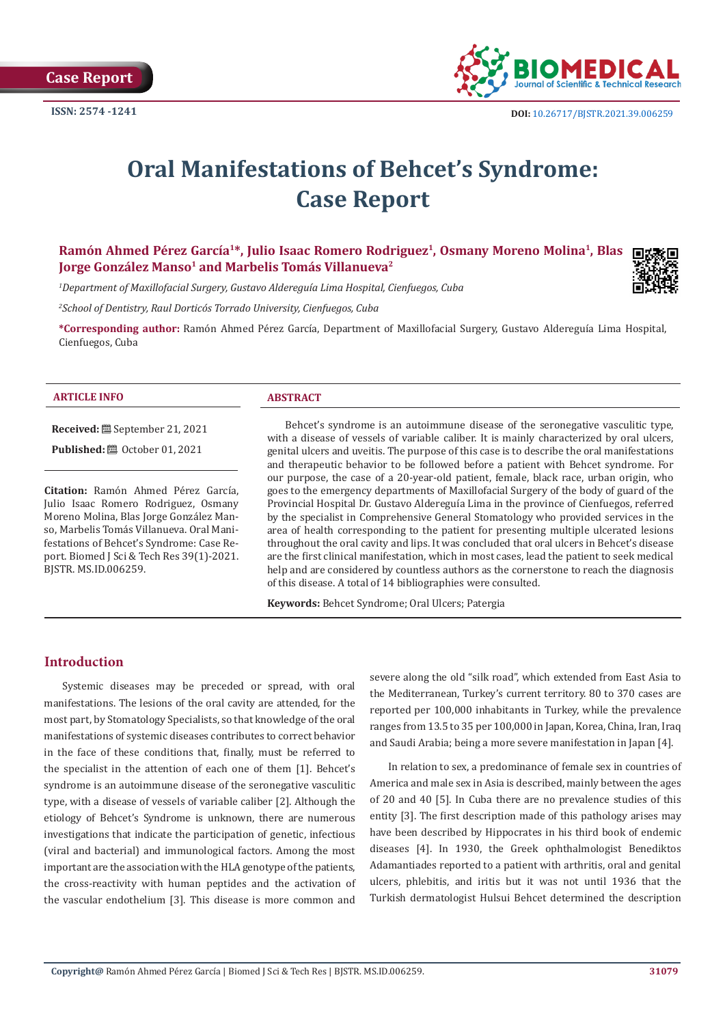**Case Report**



# **Oral Manifestations of Behcet's Syndrome: Case Report**

**Ramón Ahmed Pérez García1\*, Julio Isaac Romero Rodriguez1, Osmany Moreno Molina1, Blas Jorge González Manso<sup>1</sup> and Marbelis Tomás Villanueva<sup>2</sup>** 

*1 Department of Maxillofacial Surgery, Gustavo Aldereguía Lima Hospital, Cienfuegos, Cuba*

*2 School of Dentistry, Raul Dorticós Torrado University, Cienfuegos, Cuba*

**\*Corresponding author:** Ramón Ahmed Pérez García, Department of Maxillofacial Surgery, Gustavo Aldereguía Lima Hospital, Cienfuegos, Cuba

#### **ARTICLE INFO ABSTRACT**

**Received:** September 21, 2021

**Published:** @ October 01, 2021

**Citation:** Ramón Ahmed Pérez García, Julio Isaac Romero Rodriguez, Osmany Moreno Molina, Blas Jorge González Manso, Marbelis Tomás Villanueva. Oral Manifestations of Behcet's Syndrome: Case Report. Biomed J Sci & Tech Res 39(1)-2021. BJSTR. MS.ID.006259.

Behcet's syndrome is an autoimmune disease of the seronegative vasculitic type, with a disease of vessels of variable caliber. It is mainly characterized by oral ulcers, genital ulcers and uveitis. The purpose of this case is to describe the oral manifestations and therapeutic behavior to be followed before a patient with Behcet syndrome. For our purpose, the case of a 20-year-old patient, female, black race, urban origin, who goes to the emergency departments of Maxillofacial Surgery of the body of guard of the Provincial Hospital Dr. Gustavo Aldereguía Lima in the province of Cienfuegos, referred by the specialist in Comprehensive General Stomatology who provided services in the area of health corresponding to the patient for presenting multiple ulcerated lesions throughout the oral cavity and lips. It was concluded that oral ulcers in Behcet's disease are the first clinical manifestation, which in most cases, lead the patient to seek medical help and are considered by countless authors as the cornerstone to reach the diagnosis of this disease. A total of 14 bibliographies were consulted.

**Keywords:** Behcet Syndrome; Oral Ulcers; Patergia

# **Introduction**

Systemic diseases may be preceded or spread, with oral manifestations. The lesions of the oral cavity are attended, for the most part, by Stomatology Specialists, so that knowledge of the oral manifestations of systemic diseases contributes to correct behavior in the face of these conditions that, finally, must be referred to the specialist in the attention of each one of them [1]. Behcet's syndrome is an autoimmune disease of the seronegative vasculitic type, with a disease of vessels of variable caliber [2]. Although the etiology of Behcet's Syndrome is unknown, there are numerous investigations that indicate the participation of genetic, infectious (viral and bacterial) and immunological factors. Among the most important are the association with the HLA genotype of the patients, the cross-reactivity with human peptides and the activation of the vascular endothelium [3]. This disease is more common and

severe along the old "silk road", which extended from East Asia to the Mediterranean, Turkey's current territory. 80 to 370 cases are reported per 100,000 inhabitants in Turkey, while the prevalence ranges from 13.5 to 35 per 100,000 in Japan, Korea, China, Iran, Iraq and Saudi Arabia; being a more severe manifestation in Japan [4].

In relation to sex, a predominance of female sex in countries of America and male sex in Asia is described, mainly between the ages of 20 and 40 [5]. In Cuba there are no prevalence studies of this entity [3]. The first description made of this pathology arises may have been described by Hippocrates in his third book of endemic diseases [4]. In 1930, the Greek ophthalmologist Benediktos Adamantiades reported to a patient with arthritis, oral and genital ulcers, phlebitis, and iritis but it was not until 1936 that the Turkish dermatologist Hulsui Behcet determined the description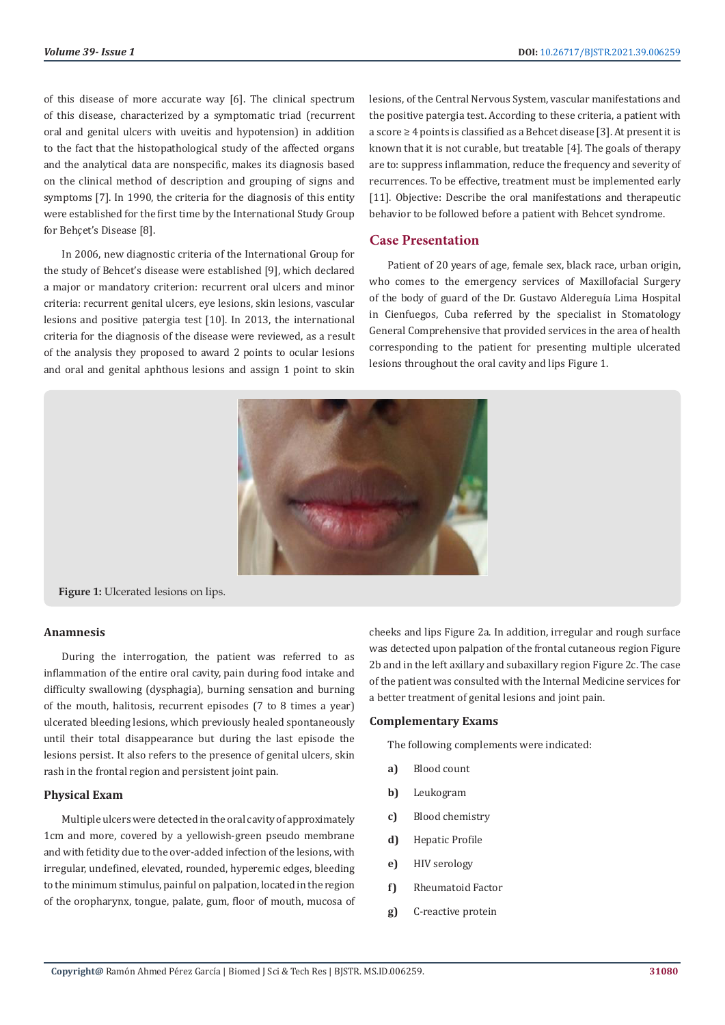of this disease of more accurate way [6]. The clinical spectrum of this disease, characterized by a symptomatic triad (recurrent oral and genital ulcers with uveitis and hypotension) in addition to the fact that the histopathological study of the affected organs and the analytical data are nonspecific, makes its diagnosis based on the clinical method of description and grouping of signs and symptoms [7]. In 1990, the criteria for the diagnosis of this entity were established for the first time by the International Study Group for Behçet's Disease [8].

In 2006, new diagnostic criteria of the International Group for the study of Behcet's disease were established [9], which declared a major or mandatory criterion: recurrent oral ulcers and minor criteria: recurrent genital ulcers, eye lesions, skin lesions, vascular lesions and positive patergia test [10]. In 2013, the international criteria for the diagnosis of the disease were reviewed, as a result of the analysis they proposed to award 2 points to ocular lesions and oral and genital aphthous lesions and assign 1 point to skin

lesions, of the Central Nervous System, vascular manifestations and the positive patergia test. According to these criteria, a patient with a score ≥ 4 points is classified as a Behcet disease [3]. At present it is known that it is not curable, but treatable [4]. The goals of therapy are to: suppress inflammation, reduce the frequency and severity of recurrences. To be effective, treatment must be implemented early [11]. Objective: Describe the oral manifestations and therapeutic behavior to be followed before a patient with Behcet syndrome.

# **Case Presentation**

Patient of 20 years of age, female sex, black race, urban origin, who comes to the emergency services of Maxillofacial Surgery of the body of guard of the Dr. Gustavo Aldereguía Lima Hospital in Cienfuegos, Cuba referred by the specialist in Stomatology General Comprehensive that provided services in the area of health corresponding to the patient for presenting multiple ulcerated lesions throughout the oral cavity and lips Figure 1.



**Figure 1:** Ulcerated lesions on lips.

#### **Anamnesis**

During the interrogation, the patient was referred to as inflammation of the entire oral cavity, pain during food intake and difficulty swallowing (dysphagia), burning sensation and burning of the mouth, halitosis, recurrent episodes (7 to 8 times a year) ulcerated bleeding lesions, which previously healed spontaneously until their total disappearance but during the last episode the lesions persist. It also refers to the presence of genital ulcers, skin rash in the frontal region and persistent joint pain.

#### **Physical Exam**

Multiple ulcers were detected in the oral cavity of approximately 1cm and more, covered by a yellowish-green pseudo membrane and with fetidity due to the over-added infection of the lesions, with irregular, undefined, elevated, rounded, hyperemic edges, bleeding to the minimum stimulus, painful on palpation, located in the region of the oropharynx, tongue, palate, gum, floor of mouth, mucosa of cheeks and lips Figure 2a. In addition, irregular and rough surface was detected upon palpation of the frontal cutaneous region Figure 2b and in the left axillary and subaxillary region Figure 2c. The case of the patient was consulted with the Internal Medicine services for a better treatment of genital lesions and joint pain.

#### **Complementary Exams**

The following complements were indicated:

- **a)** Blood count
- **b)** Leukogram
- **c)** Blood chemistry
- **d)** Hepatic Profile
- **e)** HIV serology
- **f)** Rheumatoid Factor
- **g)** C-reactive protein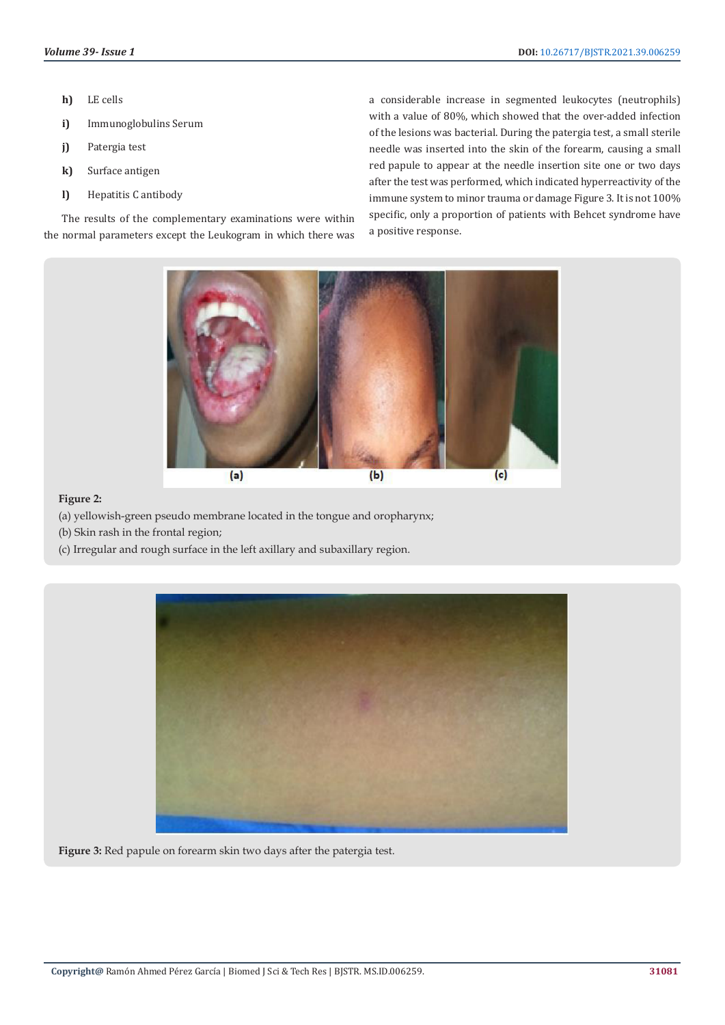- **h)** LE cells
- **i)** Immunoglobulins Serum
- **j)** Patergia test
- **k)** Surface antigen
- **l)** Hepatitis C antibody

The results of the complementary examinations were within the normal parameters except the Leukogram in which there was a considerable increase in segmented leukocytes (neutrophils) with a value of 80%, which showed that the over-added infection of the lesions was bacterial. During the patergia test, a small sterile needle was inserted into the skin of the forearm, causing a small red papule to appear at the needle insertion site one or two days after the test was performed, which indicated hyperreactivity of the immune system to minor trauma or damage Figure 3. It is not 100% specific, only a proportion of patients with Behcet syndrome have a positive response.



# **Figure 2:**

- (a) yellowish-green pseudo membrane located in the tongue and oropharynx;
- (b) Skin rash in the frontal region;
- (c) Irregular and rough surface in the left axillary and subaxillary region.



**Figure 3:** Red papule on forearm skin two days after the patergia test.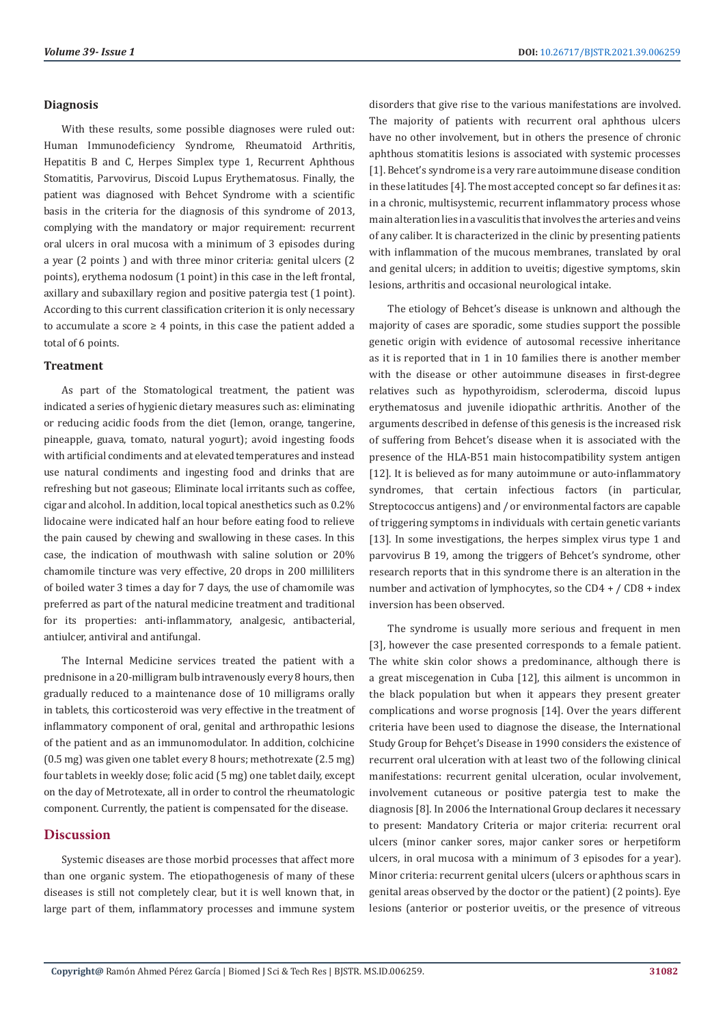#### **Diagnosis**

With these results, some possible diagnoses were ruled out: Human Immunodeficiency Syndrome, Rheumatoid Arthritis, Hepatitis B and C, Herpes Simplex type 1, Recurrent Aphthous Stomatitis, Parvovirus, Discoid Lupus Erythematosus. Finally, the patient was diagnosed with Behcet Syndrome with a scientific basis in the criteria for the diagnosis of this syndrome of 2013, complying with the mandatory or major requirement: recurrent oral ulcers in oral mucosa with a minimum of 3 episodes during a year (2 points ) and with three minor criteria: genital ulcers (2 points), erythema nodosum (1 point) in this case in the left frontal, axillary and subaxillary region and positive patergia test (1 point). According to this current classification criterion it is only necessary to accumulate a score  $\geq 4$  points, in this case the patient added a total of 6 points.

# **Treatment**

As part of the Stomatological treatment, the patient was indicated a series of hygienic dietary measures such as: eliminating or reducing acidic foods from the diet (lemon, orange, tangerine, pineapple, guava, tomato, natural yogurt); avoid ingesting foods with artificial condiments and at elevated temperatures and instead use natural condiments and ingesting food and drinks that are refreshing but not gaseous; Eliminate local irritants such as coffee, cigar and alcohol. In addition, local topical anesthetics such as 0.2% lidocaine were indicated half an hour before eating food to relieve the pain caused by chewing and swallowing in these cases. In this case, the indication of mouthwash with saline solution or 20% chamomile tincture was very effective, 20 drops in 200 milliliters of boiled water 3 times a day for 7 days, the use of chamomile was preferred as part of the natural medicine treatment and traditional for its properties: anti-inflammatory, analgesic, antibacterial, antiulcer, antiviral and antifungal.

The Internal Medicine services treated the patient with a prednisone in a 20-milligram bulb intravenously every 8 hours, then gradually reduced to a maintenance dose of 10 milligrams orally in tablets, this corticosteroid was very effective in the treatment of inflammatory component of oral, genital and arthropathic lesions of the patient and as an immunomodulator. In addition, colchicine (0.5 mg) was given one tablet every 8 hours; methotrexate (2.5 mg) four tablets in weekly dose; folic acid (5 mg) one tablet daily, except on the day of Metrotexate, all in order to control the rheumatologic component. Currently, the patient is compensated for the disease.

# **Discussion**

Systemic diseases are those morbid processes that affect more than one organic system. The etiopathogenesis of many of these diseases is still not completely clear, but it is well known that, in large part of them, inflammatory processes and immune system disorders that give rise to the various manifestations are involved. The majority of patients with recurrent oral aphthous ulcers have no other involvement, but in others the presence of chronic aphthous stomatitis lesions is associated with systemic processes [1]. Behcet's syndrome is a very rare autoimmune disease condition in these latitudes [4]. The most accepted concept so far defines it as: in a chronic, multisystemic, recurrent inflammatory process whose main alteration lies in a vasculitis that involves the arteries and veins of any caliber. It is characterized in the clinic by presenting patients with inflammation of the mucous membranes, translated by oral and genital ulcers; in addition to uveitis; digestive symptoms, skin lesions, arthritis and occasional neurological intake.

The etiology of Behcet's disease is unknown and although the majority of cases are sporadic, some studies support the possible genetic origin with evidence of autosomal recessive inheritance as it is reported that in 1 in 10 families there is another member with the disease or other autoimmune diseases in first-degree relatives such as hypothyroidism, scleroderma, discoid lupus erythematosus and juvenile idiopathic arthritis. Another of the arguments described in defense of this genesis is the increased risk of suffering from Behcet's disease when it is associated with the presence of the HLA-B51 main histocompatibility system antigen [12]. It is believed as for many autoimmune or auto-inflammatory syndromes, that certain infectious factors (in particular, Streptococcus antigens) and / or environmental factors are capable of triggering symptoms in individuals with certain genetic variants [13]. In some investigations, the herpes simplex virus type 1 and parvovirus B 19, among the triggers of Behcet's syndrome, other research reports that in this syndrome there is an alteration in the number and activation of lymphocytes, so the CD4 + / CD8 + index inversion has been observed.

The syndrome is usually more serious and frequent in men [3], however the case presented corresponds to a female patient. The white skin color shows a predominance, although there is a great miscegenation in Cuba [12], this ailment is uncommon in the black population but when it appears they present greater complications and worse prognosis [14]. Over the years different criteria have been used to diagnose the disease, the International Study Group for Behçet's Disease in 1990 considers the existence of recurrent oral ulceration with at least two of the following clinical manifestations: recurrent genital ulceration, ocular involvement, involvement cutaneous or positive patergia test to make the diagnosis [8]. In 2006 the International Group declares it necessary to present: Mandatory Criteria or major criteria: recurrent oral ulcers (minor canker sores, major canker sores or herpetiform ulcers, in oral mucosa with a minimum of 3 episodes for a year). Minor criteria: recurrent genital ulcers (ulcers or aphthous scars in genital areas observed by the doctor or the patient) (2 points). Eye lesions (anterior or posterior uveitis, or the presence of vitreous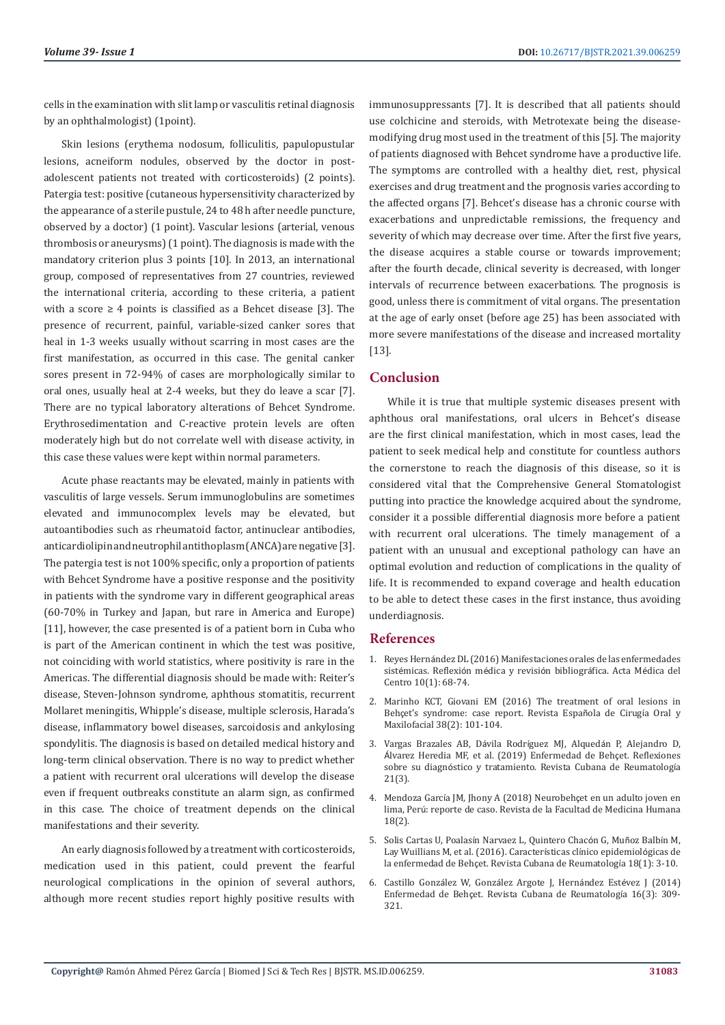cells in the examination with slit lamp or vasculitis retinal diagnosis by an ophthalmologist) (1point).

Skin lesions (erythema nodosum, folliculitis, papulopustular lesions, acneiform nodules, observed by the doctor in postadolescent patients not treated with corticosteroids) (2 points). Patergia test: positive (cutaneous hypersensitivity characterized by the appearance of a sterile pustule, 24 to 48 h after needle puncture, observed by a doctor) (1 point). Vascular lesions (arterial, venous thrombosis or aneurysms) (1 point). The diagnosis is made with the mandatory criterion plus 3 points [10]. In 2013, an international group, composed of representatives from 27 countries, reviewed the international criteria, according to these criteria, a patient with a score  $\geq 4$  points is classified as a Behcet disease [3]. The presence of recurrent, painful, variable-sized canker sores that heal in 1-3 weeks usually without scarring in most cases are the first manifestation, as occurred in this case. The genital canker sores present in 72-94% of cases are morphologically similar to oral ones, usually heal at 2-4 weeks, but they do leave a scar [7]. There are no typical laboratory alterations of Behcet Syndrome. Erythrosedimentation and C-reactive protein levels are often moderately high but do not correlate well with disease activity, in this case these values were kept within normal parameters.

Acute phase reactants may be elevated, mainly in patients with vasculitis of large vessels. Serum immunoglobulins are sometimes elevated and immunocomplex levels may be elevated, but autoantibodies such as rheumatoid factor, antinuclear antibodies, anticardiolipin and neutrophil antithoplasm (ANCA) are negative [3]. The patergia test is not 100% specific, only a proportion of patients with Behcet Syndrome have a positive response and the positivity in patients with the syndrome vary in different geographical areas (60-70% in Turkey and Japan, but rare in America and Europe) [11], however, the case presented is of a patient born in Cuba who is part of the American continent in which the test was positive, not coinciding with world statistics, where positivity is rare in the Americas. The differential diagnosis should be made with: Reiter's disease, Steven-Johnson syndrome, aphthous stomatitis, recurrent Mollaret meningitis, Whipple's disease, multiple sclerosis, Harada's disease, inflammatory bowel diseases, sarcoidosis and ankylosing spondylitis. The diagnosis is based on detailed medical history and long-term clinical observation. There is no way to predict whether a patient with recurrent oral ulcerations will develop the disease even if frequent outbreaks constitute an alarm sign, as confirmed in this case. The choice of treatment depends on the clinical manifestations and their severity.

An early diagnosis followed by a treatment with corticosteroids, medication used in this patient, could prevent the fearful neurological complications in the opinion of several authors, although more recent studies report highly positive results with

immunosuppressants [7]. It is described that all patients should use colchicine and steroids, with Metrotexate being the diseasemodifying drug most used in the treatment of this [5]. The majority of patients diagnosed with Behcet syndrome have a productive life. The symptoms are controlled with a healthy diet, rest, physical exercises and drug treatment and the prognosis varies according to the affected organs [7]. Behcet's disease has a chronic course with exacerbations and unpredictable remissions, the frequency and severity of which may decrease over time. After the first five years, the disease acquires a stable course or towards improvement; after the fourth decade, clinical severity is decreased, with longer intervals of recurrence between exacerbations. The prognosis is good, unless there is commitment of vital organs. The presentation at the age of early onset (before age 25) has been associated with more severe manifestations of the disease and increased mortality [13].

### **Conclusion**

While it is true that multiple systemic diseases present with aphthous oral manifestations, oral ulcers in Behcet's disease are the first clinical manifestation, which in most cases, lead the patient to seek medical help and constitute for countless authors the cornerstone to reach the diagnosis of this disease, so it is considered vital that the Comprehensive General Stomatologist putting into practice the knowledge acquired about the syndrome, consider it a possible differential diagnosis more before a patient with recurrent oral ulcerations. The timely management of a patient with an unusual and exceptional pathology can have an optimal evolution and reduction of complications in the quality of life. It is recommended to expand coverage and health education to be able to detect these cases in the first instance, thus avoiding underdiagnosis.

### **References**

- 1. Reyes Herná[ndez DL \(2016\) Manifestaciones orales de las enfermedades](https://www.medigraphic.com/cgi-bin/new/resumen.cgi?IDARTICULO=64252) sistémicas. Reflexión médica y revisión bibliográfica. Acta Médica del [Centro 10\(1\): 68-74.](https://www.medigraphic.com/cgi-bin/new/resumen.cgi?IDARTICULO=64252)
- 2. [Marinho KCT, Giovani EM \(2016\) The treatment of oral lesions in](https://scielo.isciii.es/scielo.php?pid=S1130-05582016000200008&script=sci_abstract&tlng=en) Behç[et's syndrome: case report. Revista Espa](https://scielo.isciii.es/scielo.php?pid=S1130-05582016000200008&script=sci_abstract&tlng=en)ñola de Cirugía Oral y [Maxilofacial 38\(2\): 101-104.](https://scielo.isciii.es/scielo.php?pid=S1130-05582016000200008&script=sci_abstract&tlng=en)
- 3. [Vargas Brazales AB, D](http://scielo.sld.cu/scielo.php?script=sci_arttext&pid=S1817-59962019000300015)ávila Rodríguez MJ, Alquedán P, Alejandro D, Á[lvarez Heredia MF, et al. \(2019\) Enfermedad de Beh](http://scielo.sld.cu/scielo.php?script=sci_arttext&pid=S1817-59962019000300015)çet. Reflexiones sobre su diagnó[stico y tratamiento. Revista Cubana de Reumatolog](http://scielo.sld.cu/scielo.php?script=sci_arttext&pid=S1817-59962019000300015)ía [21\(3\).](http://scielo.sld.cu/scielo.php?script=sci_arttext&pid=S1817-59962019000300015)
- 4. Mendoza García JM, Jhony A (2018) Neurobehçet en un adulto joven en lima, Perú: reporte de caso. Revista de la Facultad de Medicina Humana 18(2).
- 5. Solis Cartas U, Poalasí[n Narvaez L, Quintero Chac](http://scielo.sld.cu/scielo.php?script=sci_arttext&pid=S1817-59962016000100002)ón G, Muñoz Balbín M, [Lay Wuillians M, et al. \(2016\). Caracter](http://scielo.sld.cu/scielo.php?script=sci_arttext&pid=S1817-59962016000100002)ísticas clínico epidemiológicas de la enfermedad de Behç[et. Revista Cubana de Reumatolog](http://scielo.sld.cu/scielo.php?script=sci_arttext&pid=S1817-59962016000100002)ía 18(1): 3-10.
- 6. Castillo González W, Gonzá[lez Argote J, Hern](http://www.revreumatologia.sld.cu/index.php/reumatologia/article/view/359)ández Estévez J (2014) Enfermedad de Behç[et. Revista Cubana de Reumatolog](http://www.revreumatologia.sld.cu/index.php/reumatologia/article/view/359)ía 16(3): 309- [321.](http://www.revreumatologia.sld.cu/index.php/reumatologia/article/view/359)